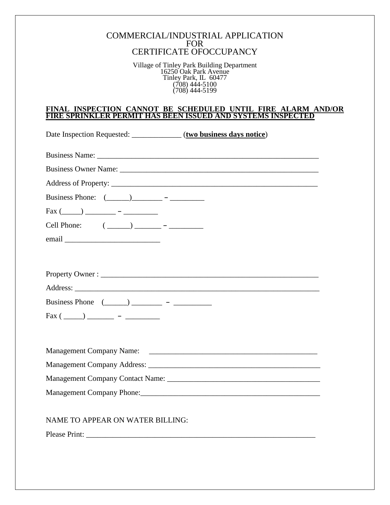## COMMERCIAL/INDUSTRIAL APPLICATION FOR CERTIFICATE OFOCCUPANCY

Village of Tinley Park Building Department 16250 Oak Park Avenue Tinley Park, IL 60477 (708) 444-5100 (708) 444-5199

## **FINAL INSPECTION CANNOT BE SCHEDULED UNTIL FIRE ALARM AND/OR FIRE SPRINKLER PERMIT HAS BEEN ISSUED AND SYSTEMS INSPECTED**

| Date Inspection Requested: ______________ (two business days notice) |                                                          |
|----------------------------------------------------------------------|----------------------------------------------------------|
|                                                                      |                                                          |
|                                                                      |                                                          |
|                                                                      |                                                          |
|                                                                      |                                                          |
| $\text{Fax} (\_\_) \_\_ \_\_ \_ \_$                                  |                                                          |
| Cell Phone: $(\_\_)$ $\_\_$ - $\_\_$                                 |                                                          |
|                                                                      |                                                          |
|                                                                      |                                                          |
|                                                                      |                                                          |
|                                                                      |                                                          |
|                                                                      |                                                          |
| Business Phone $(\_\_\_\_)$ $\_\_\_\_\_$ - $\_\_\_\_\_\_$            |                                                          |
|                                                                      |                                                          |
|                                                                      |                                                          |
|                                                                      |                                                          |
|                                                                      |                                                          |
|                                                                      |                                                          |
|                                                                      |                                                          |
|                                                                      | Management Company Phone: 1980 Management Company Phone: |
|                                                                      |                                                          |
| NAME TO APPEAR ON WATER BILLING:                                     |                                                          |
| Please Print:                                                        |                                                          |